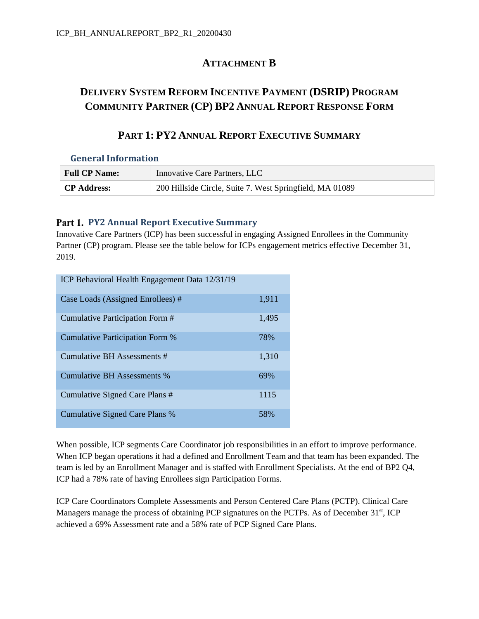### **ATTACHMENT B**

# **DELIVERY SYSTEM REFORM INCENTIVE PAYMENT (DSRIP) PROGRAM COMMUNITY PARTNER (CP) BP2 ANNUAL REPORT RESPONSE FORM**

## **PART 1: PY2 ANNUAL REPORT EXECUTIVE SUMMARY**

### **General Information**

| <b>Full CP Name:</b> | <b>Innovative Care Partners, LLC</b>                     |
|----------------------|----------------------------------------------------------|
| <b>CP Address:</b>   | 200 Hillside Circle, Suite 7. West Springfield, MA 01089 |

### **Part 1. PY2 Annual Report Executive Summary**

Innovative Care Partners (ICP) has been successful in engaging Assigned Enrollees in the Community Partner (CP) program. Please see the table below for ICPs engagement metrics effective December 31, 2019.

| ICP Behavioral Health Engagement Data 12/31/19 |       |
|------------------------------------------------|-------|
| Case Loads (Assigned Enrollees) #              | 1,911 |
| Cumulative Participation Form #                | 1,495 |
| Cumulative Participation Form %                | 78%   |
| Cumulative BH Assessments #                    | 1,310 |
| <b>Cumulative BH Assessments %</b>             | 69%   |
| Cumulative Signed Care Plans #                 | 1115  |
| Cumulative Signed Care Plans %                 | 58%   |

When possible, ICP segments Care Coordinator job responsibilities in an effort to improve performance. When ICP began operations it had a defined and Enrollment Team and that team has been expanded. The team is led by an Enrollment Manager and is staffed with Enrollment Specialists. At the end of BP2 Q4, ICP had a 78% rate of having Enrollees sign Participation Forms.

ICP Care Coordinators Complete Assessments and Person Centered Care Plans (PCTP). Clinical Care Managers manage the process of obtaining PCP signatures on the PCTPs. As of December  $31<sup>st</sup>$ , ICP achieved a 69% Assessment rate and a 58% rate of PCP Signed Care Plans.